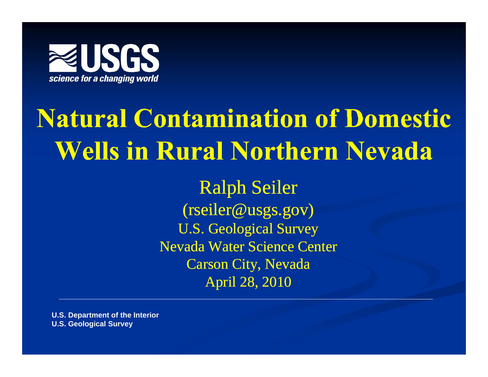

# **Natural Contamination of Domestic of Wells in Rural Northern Nevada**

Ralph Seiler (rseiler@usgs.gov) U.S. Geological Survey Nevada Water Science Center Carson City, Nevada April 28, 2010

**U.S. Department of the Interior U.S. Geological Survey**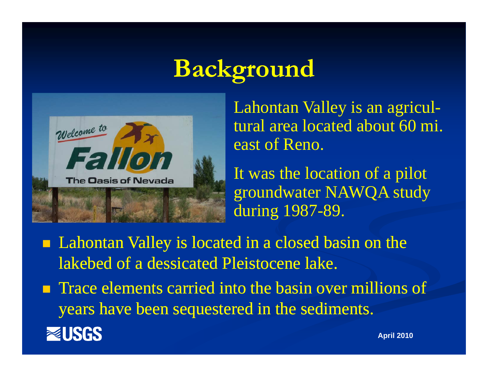# **Background**



 Lahontan Valley is an agricultural area located about 60 mi. east of Reno.

 It was the location of a pilot groundwater NAWQA study during 1987-89.

- **Lahontan Valley is located in a closed basin on the** lakebed of a dessicated Pleistocene lake.
- **Trace elements carried into the basin over millions of** years have been sequestered in the sediments have sediments.

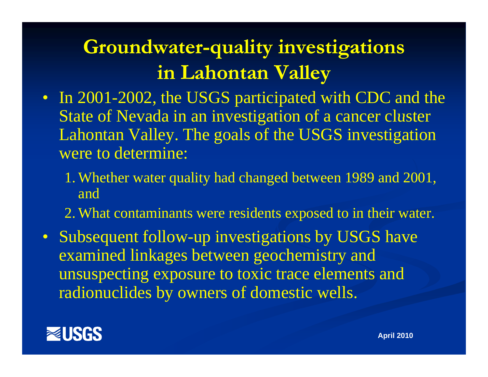#### **Groundwater-quality investigations i L h t V ll in Lahontan Valley**

- In 2001-2002, the USGS participated with CDC and the State of Nevada in an investigation of <sup>a</sup> cancer cluster Lahontan Valley. The goals of the USGS investigation were to determine:
	- 1. Whether water quality had changed between 1989 and 2001, and
	- 2. What contaminants were residents exposed to in their water.
- Subsequent follow-up investigations by USGS have examined linkages between geochemistry and unsuspecting exposure to toxic trace elements and radionuclides by owners of domestic wells.

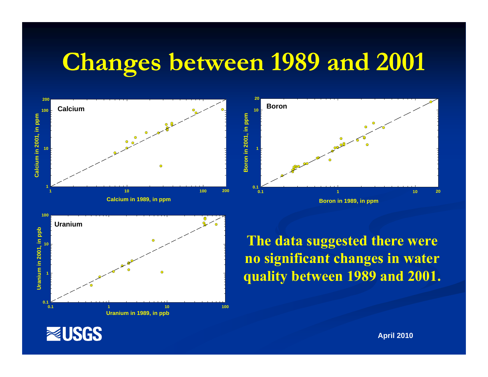# **Changes between 1989 and 2001 between and**



**EUSGS** 

**April 2010**

**20**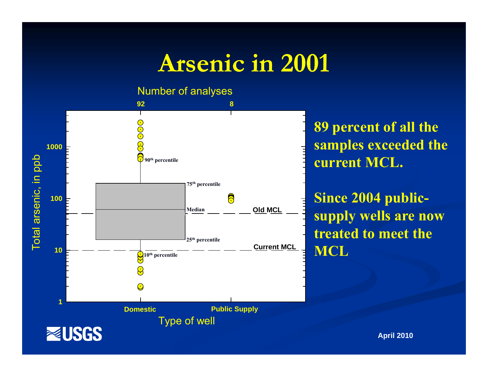## **Arsenic in 2001**

Number of analyses



**89 percent of all the samples exceeded the**

**Since 2004 publicldom i l** *Median* —  $\frac{1}{2}$  **supply wells are now treated to meet the MCL**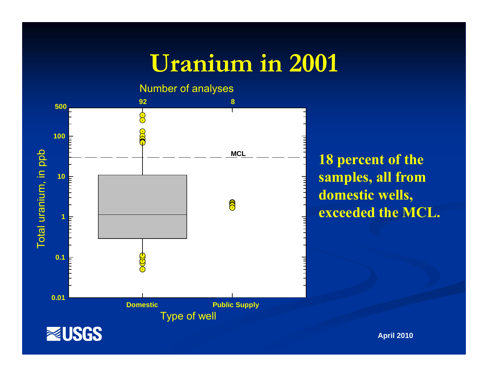#### **Uranium in 2001**



**percent of the p samples, all from domestic wells,**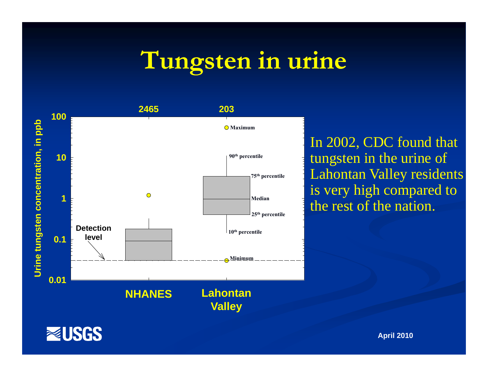#### **Tun gsten in urine**



gsten in the urine of **90th percentile** g Lahontan Valley residents is very high compared to the rest of the nation.

**EUSGS**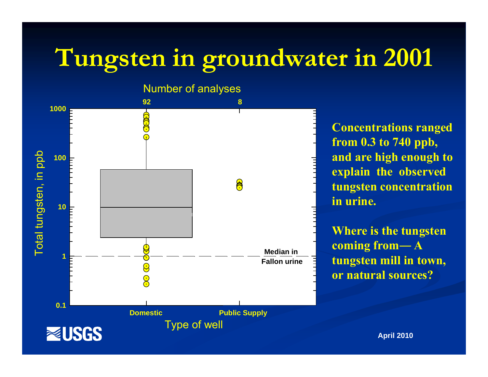# **Tungsten in groundwater in 2001**



**Concentrations ranged from 0.3 to 740 ppb, explain the observed tungsten concentration in urine.**

**Where is the tungsten coming from― A ine**  $\overline{f}$  **tungsten mill in town, or natural sources?**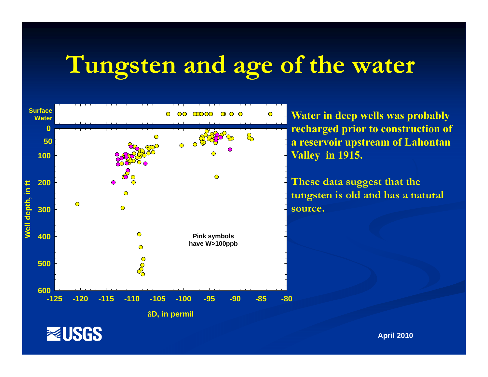# **Tungsten and age of the water**



**recharged prior to construction of a reservoir upstream of Lahontan Valley in 1915.**

**These data suggest that the tungsten is old and has a natural source.**

**EUSGS**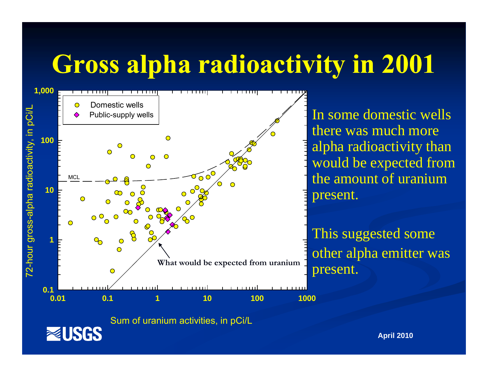# **Gross alpha radioactivity in 2001**



Sum of uranium activities, in pCi/L

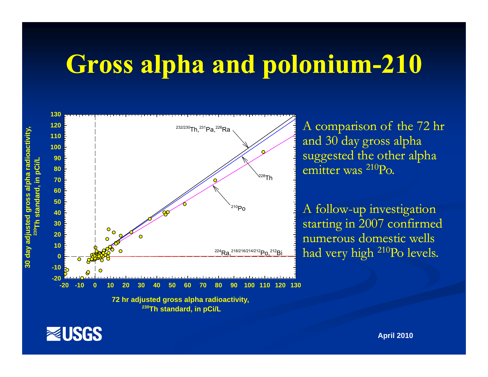## **Gross alpha and polonium -210**



A comparison of the 72 hr and 30 day gross alpha suggested the other alpha emitter was <sup>210</sup>Po.

starting in 2007 confirmed numerous domestic wells  $\frac{1}{224}$ Ra, $\frac{218/216/214/212}$ Po, $\frac{212}{12}$ Bi ad very high  $\frac{210}{12}$ 

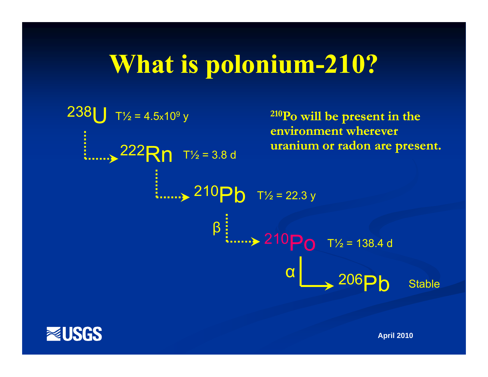# **What is polonium -210?**



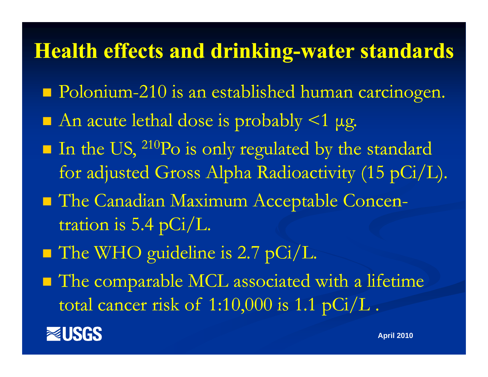#### **Health effects and drinking-water standards**

- **Polonium-210 is an established human carcinogen.**
- $\blacksquare$  An acute lethal dose is probably <1 µg.
- k.  $\blacksquare$  In the US,  $^{210}\text{Po}$  is only regulated by the standard for adjusted Gross Alpha Radioactivity (15 pCi /L).
- **The Canadian Maximum Acceptable Concen**tration is 5.4 pCi/L.
- **The WHO guideline is 2.7 pCi/L.**
- **The comparable MCL associated with a lifetime** total cancer risk of  $1\mathord{:}10,\!000$  is  $1.1$   $\textrm{pCi/L}$  .

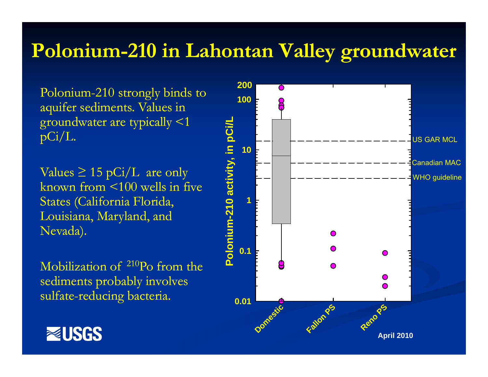#### **Polonium Polonium-210 in Lahontan Valley groundwater 210**

Polonium-210 strongly binds to  $\,$ aquifer sediments. Values in groundwater are typically <1 pCi/L.

Values  $\geq 15$  pCi/L are only known from <100 wells in five States (California Florida, Louisiana, Maryland, and Nevada).

Mobilization of 210Po from the sediments probably involves sulfate-reducing bacteria.



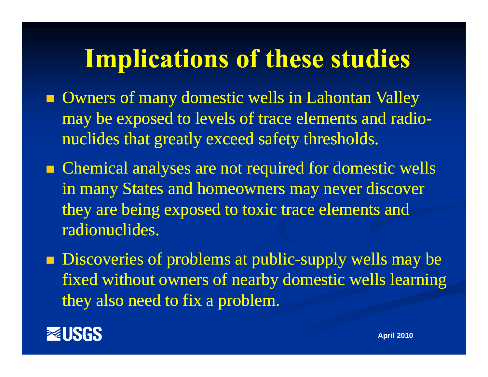# **Implications of these studies p**

- **Owners of many domestic wells in Lahontan Valley** may be exposed to levels of trace elements and radionuclides that greatly exceed safety thresholds.
- $\blacksquare$  Chemical analyses are not required for domestic wells in many States and homeowners may never discover they are being exposed to toxic trace elements and radionuclides.
- **Discoveries of problems at public-supply wells may be** fixed without owners of nearby domestic wells learning they also need to fix a problem.

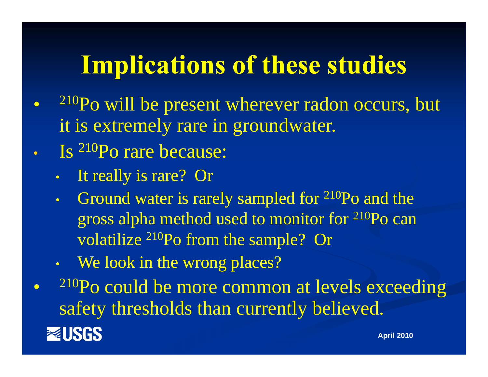# **Implications of these studies**

- $\bullet$  210Po will be present wherever radon occurs, but it is extremel y rare in groundwater.
- • Is 210Po rare because:
	- •It really is rare? Or
	- • Ground water is rarely sampled for 210Po and the gross alpha method used to monitor for  $^{210}\mathrm{Po}$  can  $^+$ volatilize 210Po from the sample? Or
	- We look in the wrong places?

 210Po could be more common at levels exceeding  $\bullet$ safety thresholds than currently believed. **REUSGS April 2010**